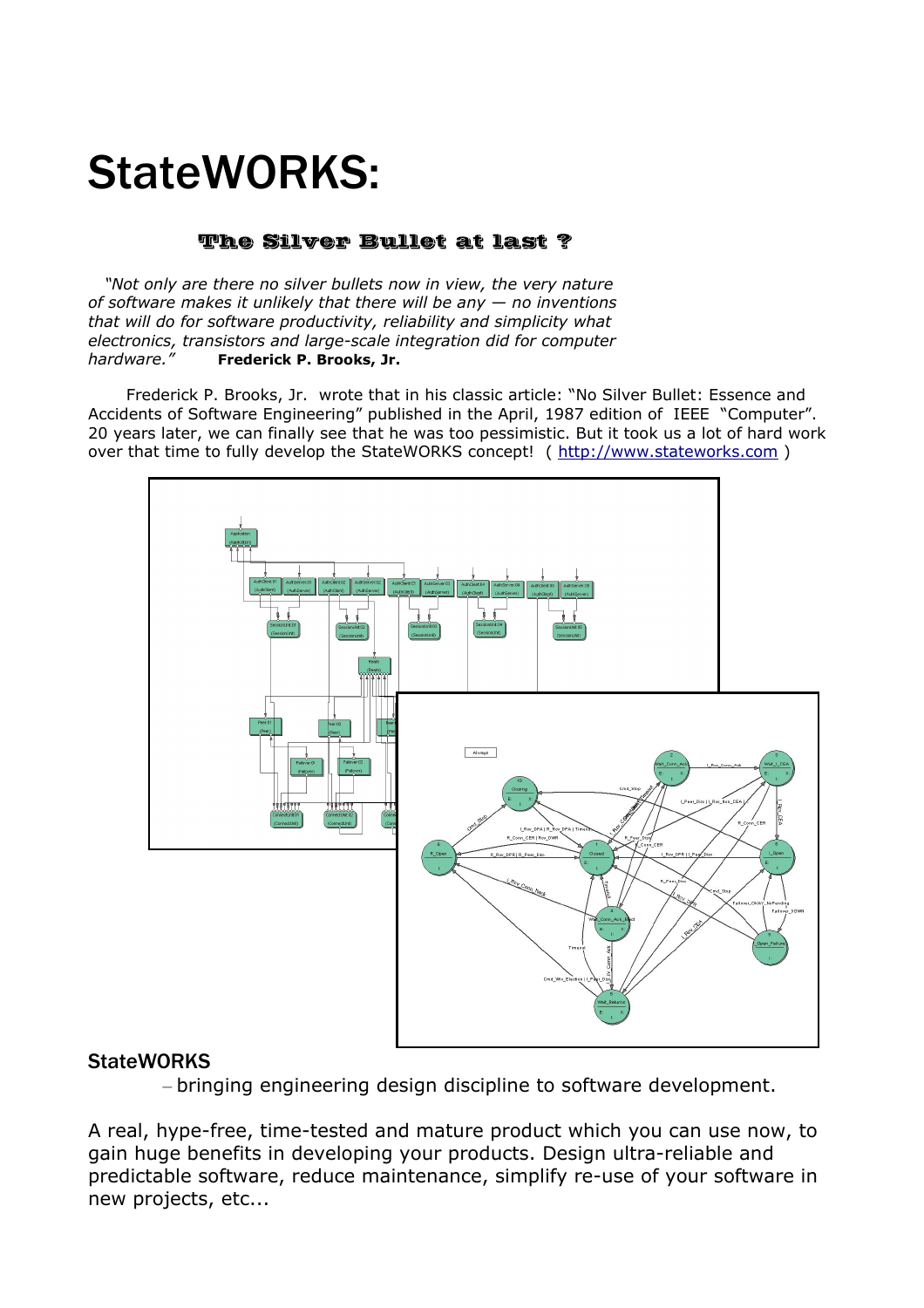# StateWORKS:

## The Silver Bullet at last ?

*"Not only are there no silver bullets now in view, the very nature of software makes it unlikely that there will be any — no inventions that will do for software productivity, reliability and simplicity what electronics, transistors and large-scale integration did for computer hardware."* **Frederick P. Brooks, Jr.** 

Frederick P. Brooks, Jr. wrote that in his classic article: "No Silver Bullet: Essence and Accidents of Software Engineering" published in the April, 1987 edition of IEEE "Computer". 20 years later, we can finally see that he was too pessimistic. But it took us a lot of hard work over that time to fully develop the StateWORKS concept! ( [http://www.stateworks.com](http://www.statewoprkds.com/) )



#### **StateWORKS**

– bringing engineering design discipline to software development.

A real, hype-free, time-tested and mature product which you can use now, to gain huge benefits in developing your products. Design ultra-reliable and predictable software, reduce maintenance, simplify re-use of your software in new projects, etc...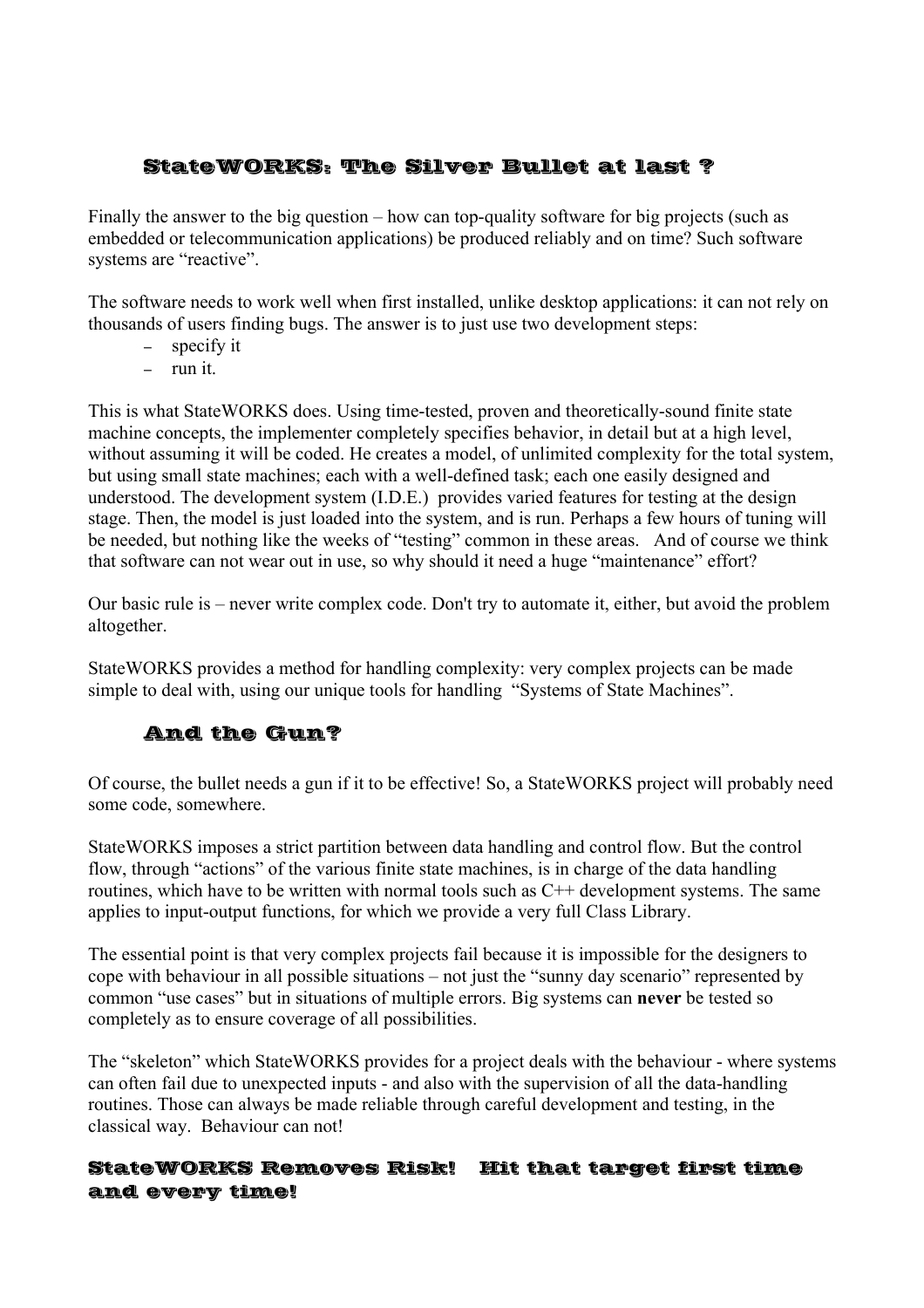# StateWORKS: The Silver Bullet at last ?

Finally the answer to the big question – how can top-quality software for big projects (such as embedded or telecommunication applications) be produced reliably and on time? Such software systems are "reactive".

The software needs to work well when first installed, unlike desktop applications: it can not rely on thousands of users finding bugs. The answer is to just use two development steps:

- specify it
- $-$  run it.

This is what StateWORKS does. Using time-tested, proven and theoretically-sound finite state machine concepts, the implementer completely specifies behavior, in detail but at a high level, without assuming it will be coded. He creates a model, of unlimited complexity for the total system, but using small state machines; each with a well-defined task; each one easily designed and understood. The development system (I.D.E.) provides varied features for testing at the design stage. Then, the model is just loaded into the system, and is run. Perhaps a few hours of tuning will be needed, but nothing like the weeks of "testing" common in these areas. And of course we think that software can not wear out in use, so why should it need a huge "maintenance" effort?

Our basic rule is – never write complex code. Don't try to automate it, either, but avoid the problem altogether.

StateWORKS provides a method for handling complexity: very complex projects can be made simple to deal with, using our unique tools for handling "Systems of State Machines".

# And the Gun?

Of course, the bullet needs a gun if it to be effective! So, a StateWORKS project will probably need some code, somewhere.

StateWORKS imposes a strict partition between data handling and control flow. But the control flow, through "actions" of the various finite state machines, is in charge of the data handling routines, which have to be written with normal tools such as C++ development systems. The same applies to input-output functions, for which we provide a very full Class Library.

The essential point is that very complex projects fail because it is impossible for the designers to cope with behaviour in all possible situations – not just the "sunny day scenario" represented by common "use cases" but in situations of multiple errors. Big systems can **never** be tested so completely as to ensure coverage of all possibilities.

The "skeleton" which StateWORKS provides for a project deals with the behaviour - where systems can often fail due to unexpected inputs - and also with the supervision of all the data-handling routines. Those can always be made reliable through careful development and testing, in the classical way. Behaviour can not!

### StateWORKS Removes Risk! Hit that target first time and every time!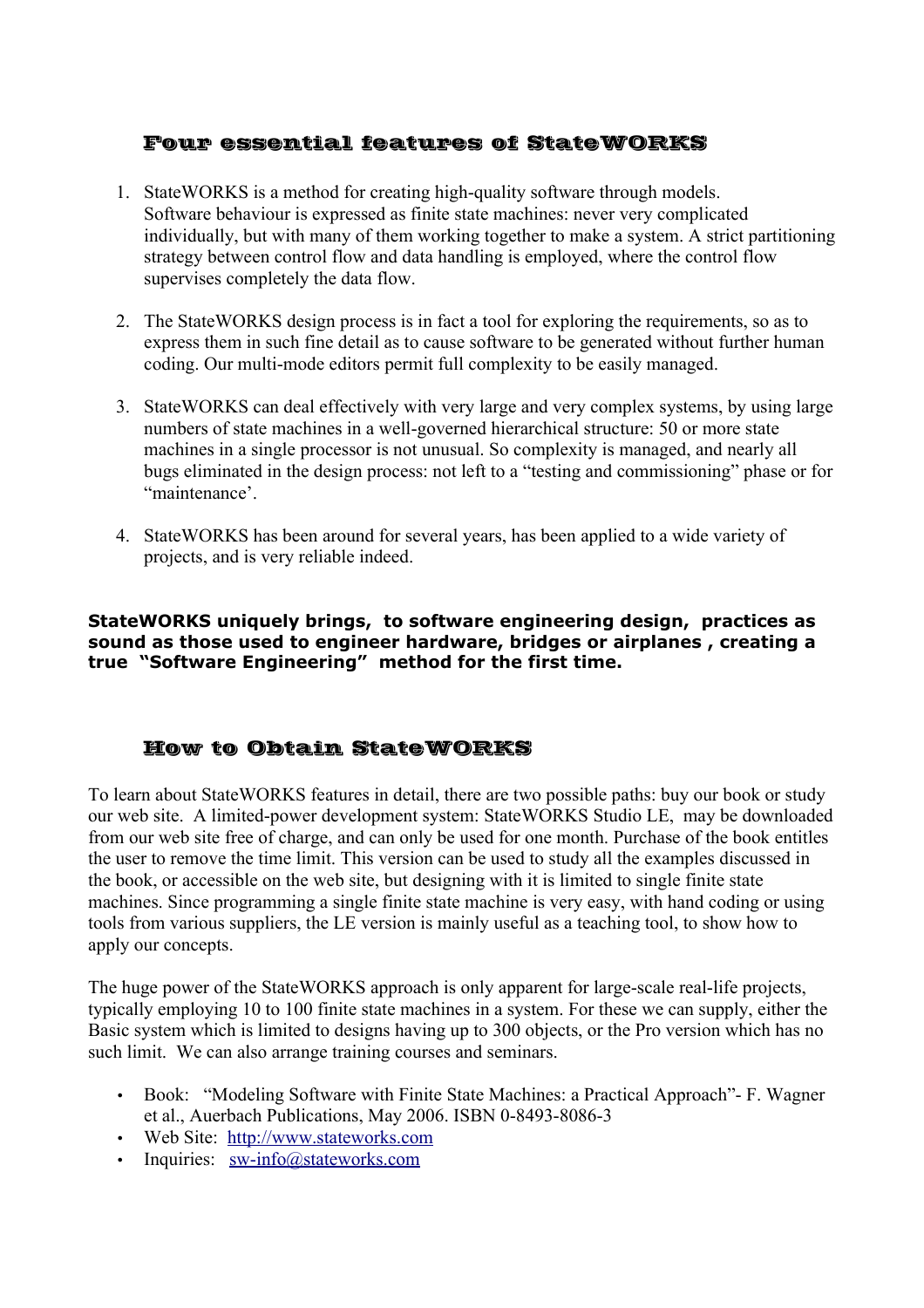# Four essential features of StateWORKS

- 1. StateWORKS is a method for creating high-quality software through models. Software behaviour is expressed as finite state machines: never very complicated individually, but with many of them working together to make a system. A strict partitioning strategy between control flow and data handling is employed, where the control flow supervises completely the data flow.
- 2. The StateWORKS design process is in fact a tool for exploring the requirements, so as to express them in such fine detail as to cause software to be generated without further human coding. Our multi-mode editors permit full complexity to be easily managed.
- 3. StateWORKS can deal effectively with very large and very complex systems, by using large numbers of state machines in a well-governed hierarchical structure: 50 or more state machines in a single processor is not unusual. So complexity is managed, and nearly all bugs eliminated in the design process: not left to a "testing and commissioning" phase or for "maintenance'.
- 4. StateWORKS has been around for several years, has been applied to a wide variety of projects, and is very reliable indeed.

**StateWORKS uniquely brings, to software engineering design, practices as sound as those used to engineer hardware, bridges or airplanes , creating a true "Software Engineering" method for the first time.**

# How to Obtain StateWORKS

To learn about StateWORKS features in detail, there are two possible paths: buy our book or study our web site. A limited-power development system: StateWORKS Studio LE, may be downloaded from our web site free of charge, and can only be used for one month. Purchase of the book entitles the user to remove the time limit. This version can be used to study all the examples discussed in the book, or accessible on the web site, but designing with it is limited to single finite state machines. Since programming a single finite state machine is very easy, with hand coding or using tools from various suppliers, the LE version is mainly useful as a teaching tool, to show how to apply our concepts.

The huge power of the StateWORKS approach is only apparent for large-scale real-life projects, typically employing 10 to 100 finite state machines in a system. For these we can supply, either the Basic system which is limited to designs having up to 300 objects, or the Pro version which has no such limit. We can also arrange training courses and seminars.

- Book: "Modeling Software with Finite State Machines: a Practical Approach"- F. Wagner et al., Auerbach Publications, May 2006. ISBN 0-8493-8086-3
- Web Site: [http://www.stateworks.com](http://www.stateworks.com/)
- Inquiries:  $sw\text{-}info@stateworks.com$